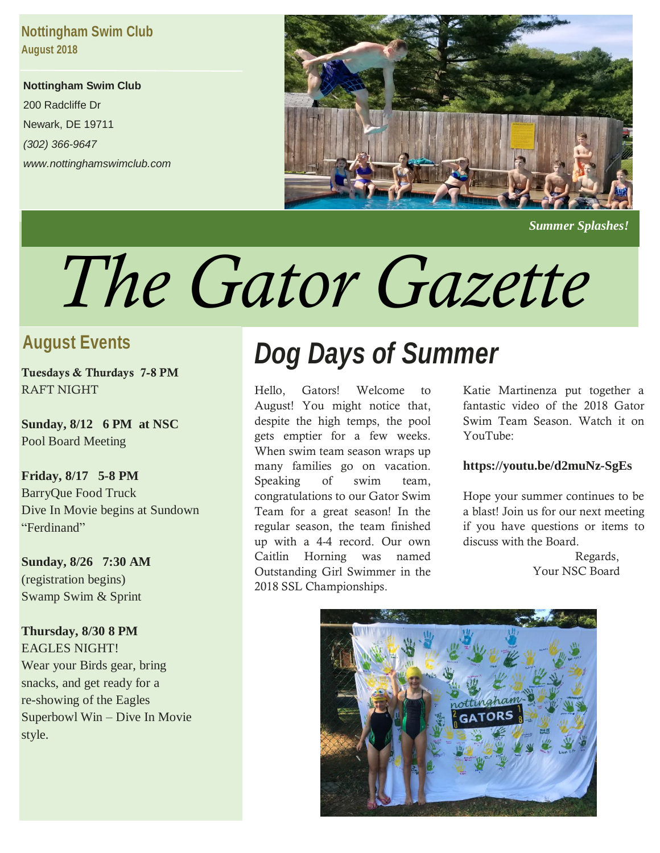### **Nottingham Swim Club August 2018**

**Nottingham Swim Club** 200 Radcliffe Dr Newark, DE 19711 *(302) 366-9647 www.nottinghamswimclub.com*



 *Summer Splashes!*

# *The Gator Gazette*

### **August Events**

**Tuesdays & Thurdays 7-8 PM** RAFT NIGHT

**Sunday, 8/12 6 PM at NSC** Pool Board Meeting

# **Friday, 8/17 5-8 PM**

BarryQue Food Truck Dive In Movie begins at Sundown "Ferdinand"

**Sunday, 8/26 7:30 AM** (registration begins) Swamp Swim & Sprint

**Thursday, 8/30 8 PM** EAGLES NIGHT! Wear your Birds gear, bring snacks, and get ready for a re-showing of the Eagles Superbowl Win – Dive In Movie style.

# *Dog Days of Summer*

Hello, Gators! Welcome to August! You might notice that, despite the high temps, the pool gets emptier for a few weeks. When swim team season wraps up many families go on vacation. Speaking of swim team, congratulations to our Gator Swim Team for a great season! In the regular season, the team finished up with a 4-4 record. Our own Caitlin Horning was named Outstanding Girl Swimmer in the 2018 SSL Championships.

Katie Martinenza put together a fantastic video of the 2018 Gator Swim Team Season. Watch it on YouTube:

### **https://youtu.be/d2muNz-SgEs**

Hope your summer continues to be a blast! Join us for our next meeting if you have questions or items to discuss with the Board.

> Regards, Your NSC Board

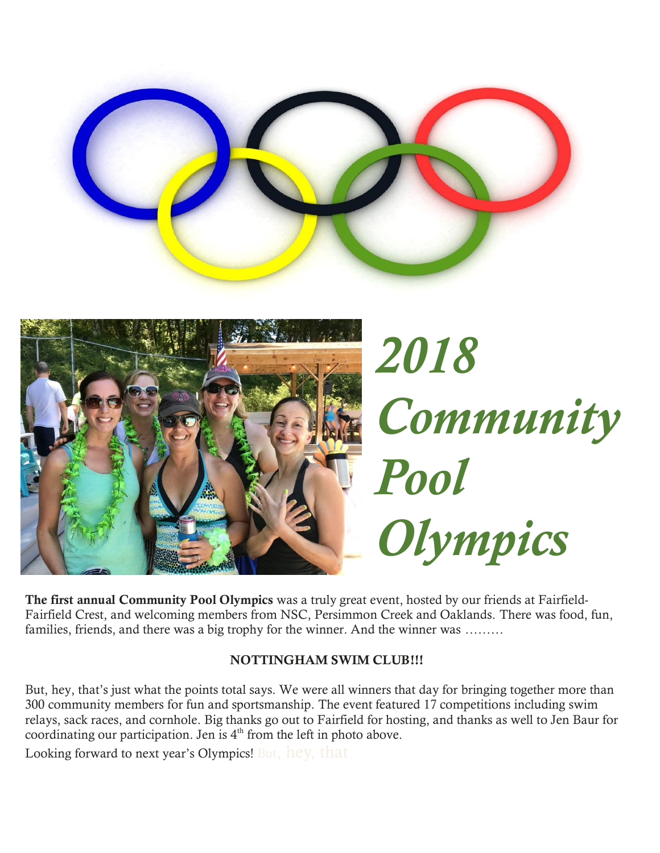



**The first annual Community Pool Olympics** was a truly great event, hosted by our friends at Fairfield-Fairfield Crest, and welcoming members from NSC, Persimmon Creek and Oaklands. There was food, fun, families, friends, and there was a big trophy for the winner. And the winner was ………

### **NOTTINGHAM SWIM CLUB!!!**

But, hey, that's just what the points total says. We were all winners that day for bringing together more than 300 community members for fun and sportsmanship. The event featured 17 competitions including swim relays, sack races, and cornhole. Big thanks go out to Fairfield for hosting, and thanks as well to Jen Baur for coordinating our participation. Jen is  $4<sup>th</sup>$  from the left in photo above.

Looking forward to next year's Olympics! But, hey, that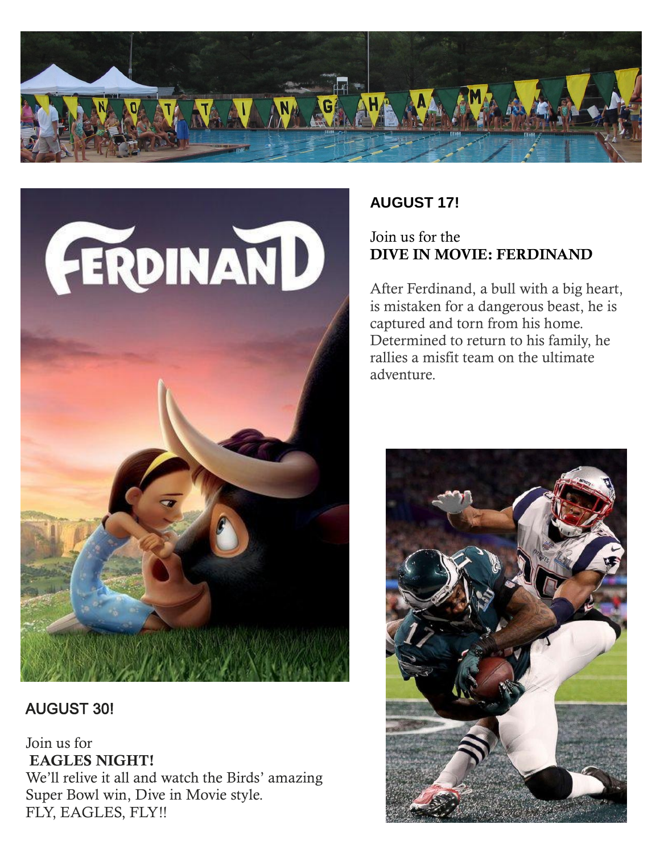



AUGUST 30!

Join us for **EAGLES NIGHT!** We'll relive it all and watch the Birds' amazing Super Bowl win, Dive in Movie style. FLY, EAGLES, FLY!!

## **AUGUST 17!**

### Join us for the **DIVE IN MOVIE: FERDINAND**

After Ferdinand, a bull with a big heart, is mistaken for a dangerous beast, he is captured and torn from his home. Determined to return to his family, he rallies a misfit team on the ultimate adventure.